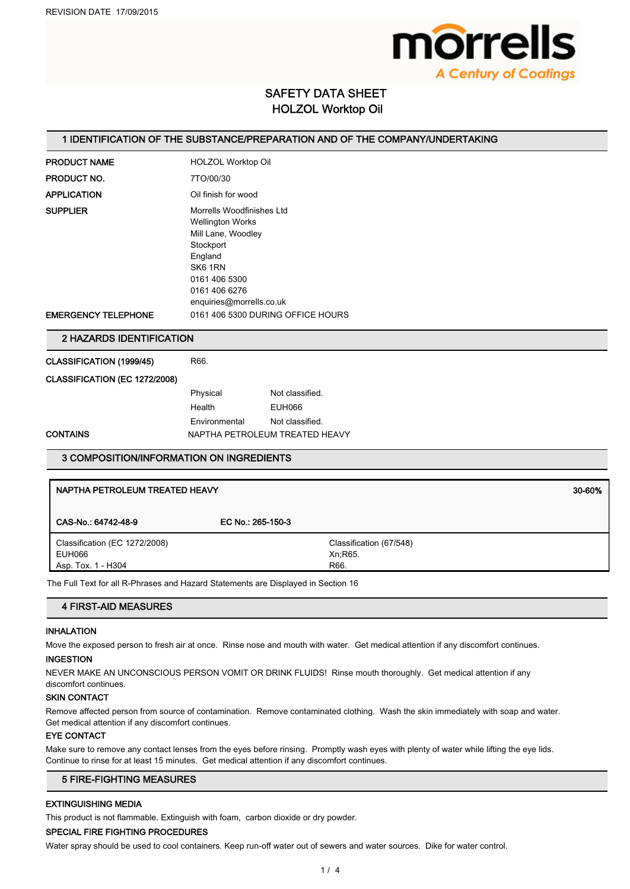

# SAFETY DATA SHEET HOLZOL Worktop Oil

## 1 IDENTIFICATION OF THE SUBSTANCE/PREPARATION AND OF THE COMPANY/UNDERTAKING

| <b>PRODUCT NAME</b>                           | <b>HOLZOL Worktop Oil</b>                                         |                                                                                                                                             |        |  |
|-----------------------------------------------|-------------------------------------------------------------------|---------------------------------------------------------------------------------------------------------------------------------------------|--------|--|
| PRODUCT NO.                                   | 7TO/00/30                                                         |                                                                                                                                             |        |  |
| <b>APPLICATION</b>                            | Oil finish for wood                                               |                                                                                                                                             |        |  |
| <b>SUPPLIER</b><br><b>EMERGENCY TELEPHONE</b> | Stockport<br>England<br>SK6 1RN<br>0161 406 5300<br>0161 406 6276 | Morrells Woodfinishes Ltd<br><b>Wellington Works</b><br>Mill Lane, Woodley<br>enquiries@morrells.co.uk<br>0161 406 5300 DURING OFFICE HOURS |        |  |
| 2 HAZARDS IDENTIFICATION                      |                                                                   |                                                                                                                                             |        |  |
| CLASSIFICATION (1999/45)                      | R66.                                                              |                                                                                                                                             |        |  |
| CLASSIFICATION (EC 1272/2008)                 |                                                                   |                                                                                                                                             |        |  |
|                                               | Physical<br>Health<br>Environmental                               | Not classified.<br><b>EUH066</b><br>Not classified.                                                                                         |        |  |
| <b>CONTAINS</b>                               | NAPTHA PETROLEUM TREATED HEAVY                                    |                                                                                                                                             |        |  |
| 3 COMPOSITION/INFORMATION ON INGREDIENTS      |                                                                   |                                                                                                                                             |        |  |
| NAPTHA PETROLEUM TREATED HEAVY                |                                                                   |                                                                                                                                             | 30-60% |  |

| CAS-No.: 64742-48-9           | EC No.: 265-150-3 |                         |
|-------------------------------|-------------------|-------------------------|
| Classification (EC 1272/2008) |                   | Classification (67/548) |
| EUH066                        |                   | Xn:R65.                 |
| Asp. Tox. 1 - H304            |                   | R66.                    |

The Full Text for all R-Phrases and Hazard Statements are Displayed in Section 16

# 4 FIRST-AID MEASURES

## INHALATION

Move the exposed person to fresh air at once. Rinse nose and mouth with water. Get medical attention if any discomfort continues.

## INGESTION

NEVER MAKE AN UNCONSCIOUS PERSON VOMIT OR DRINK FLUIDS! Rinse mouth thoroughly. Get medical attention if any discomfort continues.

## SKIN CONTACT

Remove affected person from source of contamination. Remove contaminated clothing. Wash the skin immediately with soap and water. Get medical attention if any discomfort continues.

## EYE CONTACT

Make sure to remove any contact lenses from the eyes before rinsing. Promptly wash eyes with plenty of water while lifting the eye lids. Continue to rinse for at least 15 minutes. Get medical attention if any discomfort continues.

## 5 FIRE-FIGHTING MEASURES

# EXTINGUISHING MEDIA

This product is not flammable. Extinguish with foam, carbon dioxide or dry powder.

#### SPECIAL FIRE FIGHTING PROCEDURES

Water spray should be used to cool containers. Keep run-off water out of sewers and water sources. Dike for water control.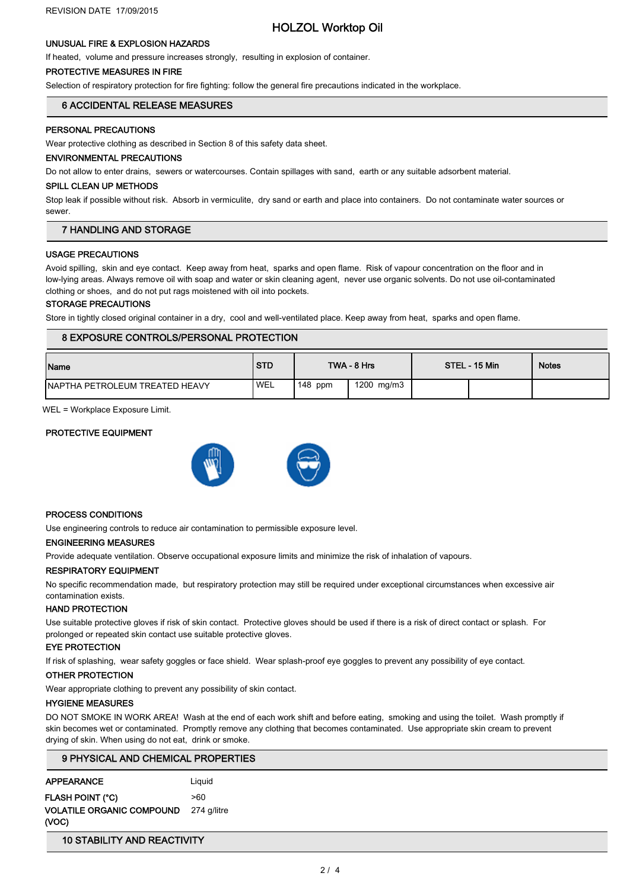# HOLZOL Worktop Oil

## UNUSUAL FIRE & EXPLOSION HAZARDS

If heated, volume and pressure increases strongly, resulting in explosion of container.

### PROTECTIVE MEASURES IN FIRE

Selection of respiratory protection for fire fighting: follow the general fire precautions indicated in the workplace.

## 6 ACCIDENTAL RELEASE MEASURES

### PERSONAL PRECAUTIONS

Wear protective clothing as described in Section 8 of this safety data sheet.

## ENVIRONMENTAL PRECAUTIONS

Do not allow to enter drains, sewers or watercourses. Contain spillages with sand, earth or any suitable adsorbent material.

#### SPILL CLEAN UP METHODS

Stop leak if possible without risk. Absorb in vermiculite, dry sand or earth and place into containers. Do not contaminate water sources or sewer.

## 7 HANDLING AND STORAGE

### USAGE PRECAUTIONS

Avoid spilling, skin and eye contact. Keep away from heat, sparks and open flame. Risk of vapour concentration on the floor and in low-lying areas. Always remove oil with soap and water or skin cleaning agent, never use organic solvents. Do not use oil-contaminated clothing or shoes, and do not put rags moistened with oil into pockets.

## STORAGE PRECAUTIONS

Store in tightly closed original container in a dry, cool and well-ventilated place. Keep away from heat, sparks and open flame.

## 8 EXPOSURE CONTROLS/PERSONAL PROTECTION

| Name                                   | <b>STD</b>       |           | TWA - 8 Hrs | STEL - 15 Min | <b>Notes</b> |
|----------------------------------------|------------------|-----------|-------------|---------------|--------------|
| <b>INAPTHA PETROLEUM TREATED HEAVY</b> | WEL <sup>'</sup> | $148$ ppm | 1200 mg/m3  |               |              |

WEL = Workplace Exposure Limit.

### PROTECTIVE EQUIPMENT



#### PROCESS CONDITIONS

Use engineering controls to reduce air contamination to permissible exposure level.

## ENGINEERING MEASURES

Provide adequate ventilation. Observe occupational exposure limits and minimize the risk of inhalation of vapours.

### RESPIRATORY EQUIPMENT

No specific recommendation made, but respiratory protection may still be required under exceptional circumstances when excessive air contamination exists.

#### HAND PROTECTION

Use suitable protective gloves if risk of skin contact. Protective gloves should be used if there is a risk of direct contact or splash. For prolonged or repeated skin contact use suitable protective gloves.

### EYE PROTECTION

If risk of splashing, wear safety goggles or face shield. Wear splash-proof eye goggles to prevent any possibility of eye contact.

## OTHER PROTECTION

Wear appropriate clothing to prevent any possibility of skin contact.

## HYGIENE MEASURES

DO NOT SMOKE IN WORK AREA! Wash at the end of each work shift and before eating, smoking and using the toilet. Wash promptly if skin becomes wet or contaminated. Promptly remove any clothing that becomes contaminated. Use appropriate skin cream to prevent drying of skin. When using do not eat, drink or smoke.

| 9 PHYSICAL AND CHEMICAL PROPERTIES        |             |  |
|-------------------------------------------|-------------|--|
| <b>APPEARANCE</b>                         | Liauid      |  |
| <b>FLASH POINT (°C)</b>                   | >60         |  |
| <b>VOLATILE ORGANIC COMPOUND</b><br>(VOC) | 274 g/litre |  |

## 10 STABILITY AND REACTIVITY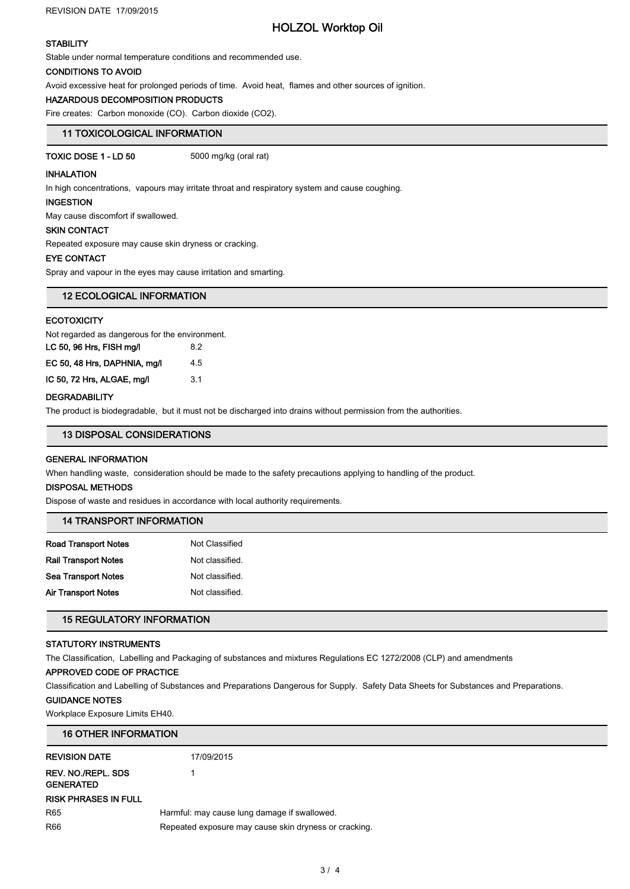# HOLZOL Worktop Oil

# **STABILITY**

Stable under normal temperature conditions and recommended use.

#### CONDITIONS TO AVOID

Avoid excessive heat for prolonged periods of time. Avoid heat, flames and other sources of ignition.

## HAZARDOUS DECOMPOSITION PRODUCTS

Fire creates: Carbon monoxide (CO). Carbon dioxide (CO2).

# 11 TOXICOLOGICAL INFORMATION

TOXIC DOSE 1 - LD 50 5000 mg/kg (oral rat)

### INHALATION

In high concentrations, vapours may irritate throat and respiratory system and cause coughing.

## INGESTION

May cause discomfort if swallowed.

## SKIN CONTACT

Repeated exposure may cause skin dryness or cracking.

### EYE CONTACT

Spray and vapour in the eyes may cause irritation and smarting.

| <b>12 ECOLOGICAL INFORMATION</b> |
|----------------------------------|
|----------------------------------|

## **ECOTOXICITY**

Not regarded as dangerous for the environment.

| LC 50, 96 Hrs, FISH mg/l     | 82  |
|------------------------------|-----|
| EC 50, 48 Hrs, DAPHNIA, mg/l | 4.5 |
| IC 50, 72 Hrs, ALGAE, mg/l   | 3.1 |

## **DEGRADABILITY**

The product is biodegradable, but it must not be discharged into drains without permission from the authorities.

# 13 DISPOSAL CONSIDERATIONS

### GENERAL INFORMATION

When handling waste, consideration should be made to the safety precautions applying to handling of the product.

# DISPOSAL METHODS

Dispose of waste and residues in accordance with local authority requirements.

| <b>14 TRANSPORT INFORMATION</b> |  |
|---------------------------------|--|
|---------------------------------|--|

| Not Classified  |
|-----------------|
| Not classified. |
| Not classified. |
| Not classified. |
|                 |

# 15 REGULATORY INFORMATION

## STATUTORY INSTRUMENTS

The Classification, Labelling and Packaging of substances and mixtures Regulations EC 1272/2008 (CLP) and amendments

# APPROVED CODE OF PRACTICE

Classification and Labelling of Substances and Preparations Dangerous for Supply. Safety Data Sheets for Substances and Preparations.

# GUIDANCE NOTES

Workplace Exposure Limits EH40.

| <b>16 OTHER INFORMATION</b>                   |                                                       |  |
|-----------------------------------------------|-------------------------------------------------------|--|
| <b>REVISION DATE</b>                          | 17/09/2015                                            |  |
| <b>REV. NO./REPL. SDS</b><br><b>GENERATED</b> |                                                       |  |
| <b>RISK PHRASES IN FULL</b>                   |                                                       |  |
| R <sub>65</sub>                               | Harmful: may cause lung damage if swallowed.          |  |
| R66                                           | Repeated exposure may cause skin dryness or cracking. |  |